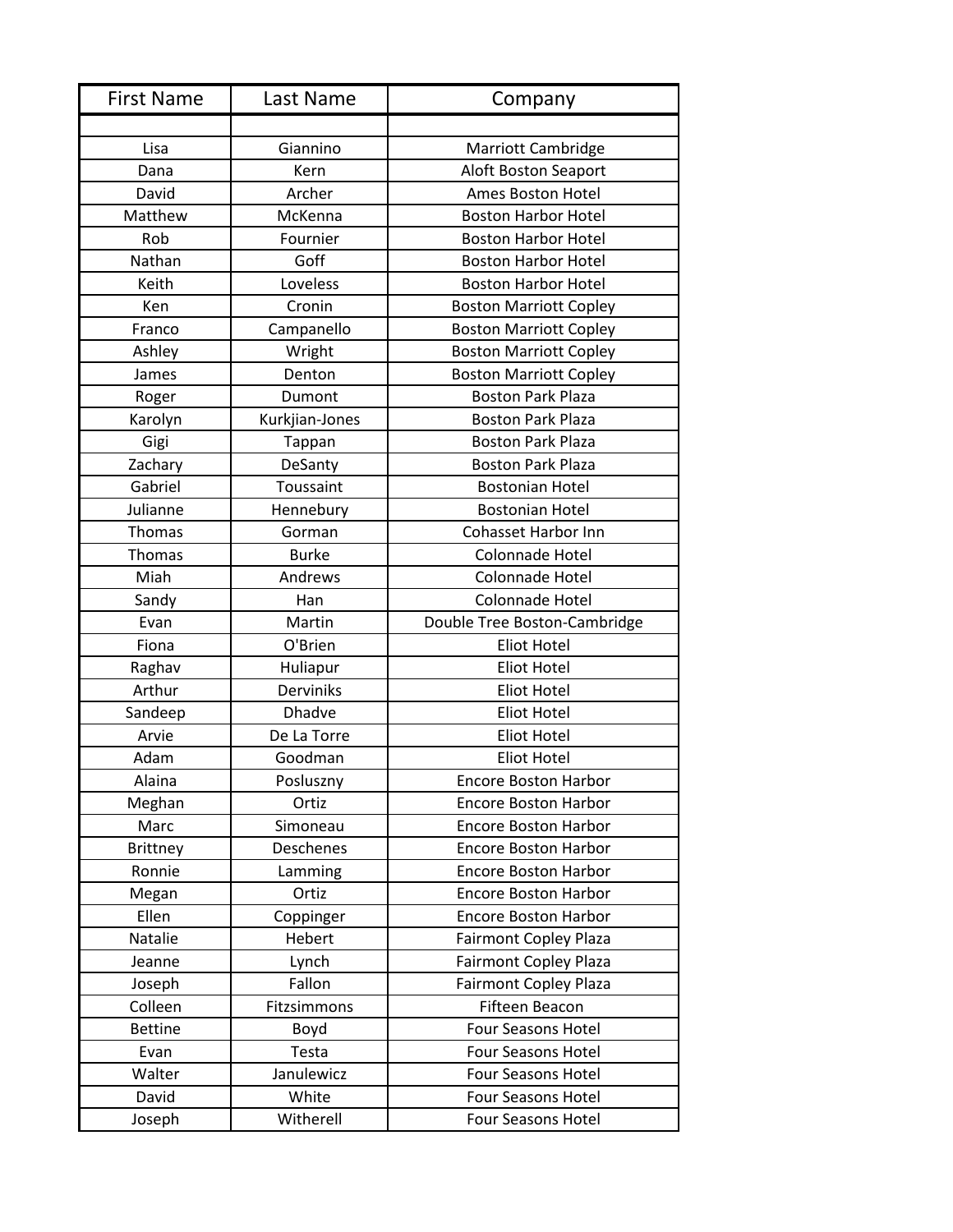| <b>First Name</b> | Last Name        | Company                       |
|-------------------|------------------|-------------------------------|
|                   |                  |                               |
| Lisa              | Giannino         | <b>Marriott Cambridge</b>     |
| Dana              | Kern             | Aloft Boston Seaport          |
| David             | Archer           | Ames Boston Hotel             |
| Matthew           | McKenna          | <b>Boston Harbor Hotel</b>    |
| Rob               | Fournier         | <b>Boston Harbor Hotel</b>    |
| Nathan            | Goff             | <b>Boston Harbor Hotel</b>    |
| Keith             | Loveless         | <b>Boston Harbor Hotel</b>    |
| Ken               | Cronin           | <b>Boston Marriott Copley</b> |
| Franco            | Campanello       | <b>Boston Marriott Copley</b> |
| Ashley            | Wright           | <b>Boston Marriott Copley</b> |
| James             | Denton           | <b>Boston Marriott Copley</b> |
| Roger             | Dumont           | <b>Boston Park Plaza</b>      |
| Karolyn           | Kurkjian-Jones   | <b>Boston Park Plaza</b>      |
| Gigi              | Tappan           | <b>Boston Park Plaza</b>      |
| Zachary           | DeSanty          | <b>Boston Park Plaza</b>      |
| Gabriel           | Toussaint        | <b>Bostonian Hotel</b>        |
| Julianne          | Hennebury        | <b>Bostonian Hotel</b>        |
| Thomas            | Gorman           | <b>Cohasset Harbor Inn</b>    |
| Thomas            | <b>Burke</b>     | Colonnade Hotel               |
| Miah              | Andrews          | Colonnade Hotel               |
| Sandy             | Han              | Colonnade Hotel               |
| Evan              | Martin           | Double Tree Boston-Cambridge  |
| Fiona             | O'Brien          | <b>Eliot Hotel</b>            |
| Raghav            | Huliapur         | <b>Eliot Hotel</b>            |
| Arthur            | <b>Derviniks</b> | <b>Eliot Hotel</b>            |
| Sandeep           | <b>Dhadve</b>    | <b>Eliot Hotel</b>            |
| Arvie             | De La Torre      | <b>Eliot Hotel</b>            |
| Adam              | Goodman          | <b>Eliot Hotel</b>            |
| Alaina            | Posluszny        | <b>Encore Boston Harbor</b>   |
| Meghan            | Ortiz            | <b>Encore Boston Harbor</b>   |
| Marc              | Simoneau         | <b>Encore Boston Harbor</b>   |
| <b>Brittney</b>   | Deschenes        | <b>Encore Boston Harbor</b>   |
| Ronnie            | Lamming          | <b>Encore Boston Harbor</b>   |
| Megan             | Ortiz            | <b>Encore Boston Harbor</b>   |
| Ellen             | Coppinger        | <b>Encore Boston Harbor</b>   |
| Natalie           | Hebert           | <b>Fairmont Copley Plaza</b>  |
| Jeanne            | Lynch            | <b>Fairmont Copley Plaza</b>  |
| Joseph            | Fallon           | <b>Fairmont Copley Plaza</b>  |
| Colleen           | Fitzsimmons      | Fifteen Beacon                |
| <b>Bettine</b>    | Boyd             | Four Seasons Hotel            |
| Evan              | Testa            | Four Seasons Hotel            |
| Walter            | Janulewicz       | Four Seasons Hotel            |
| David             | White            | <b>Four Seasons Hotel</b>     |
| Joseph            | Witherell        | Four Seasons Hotel            |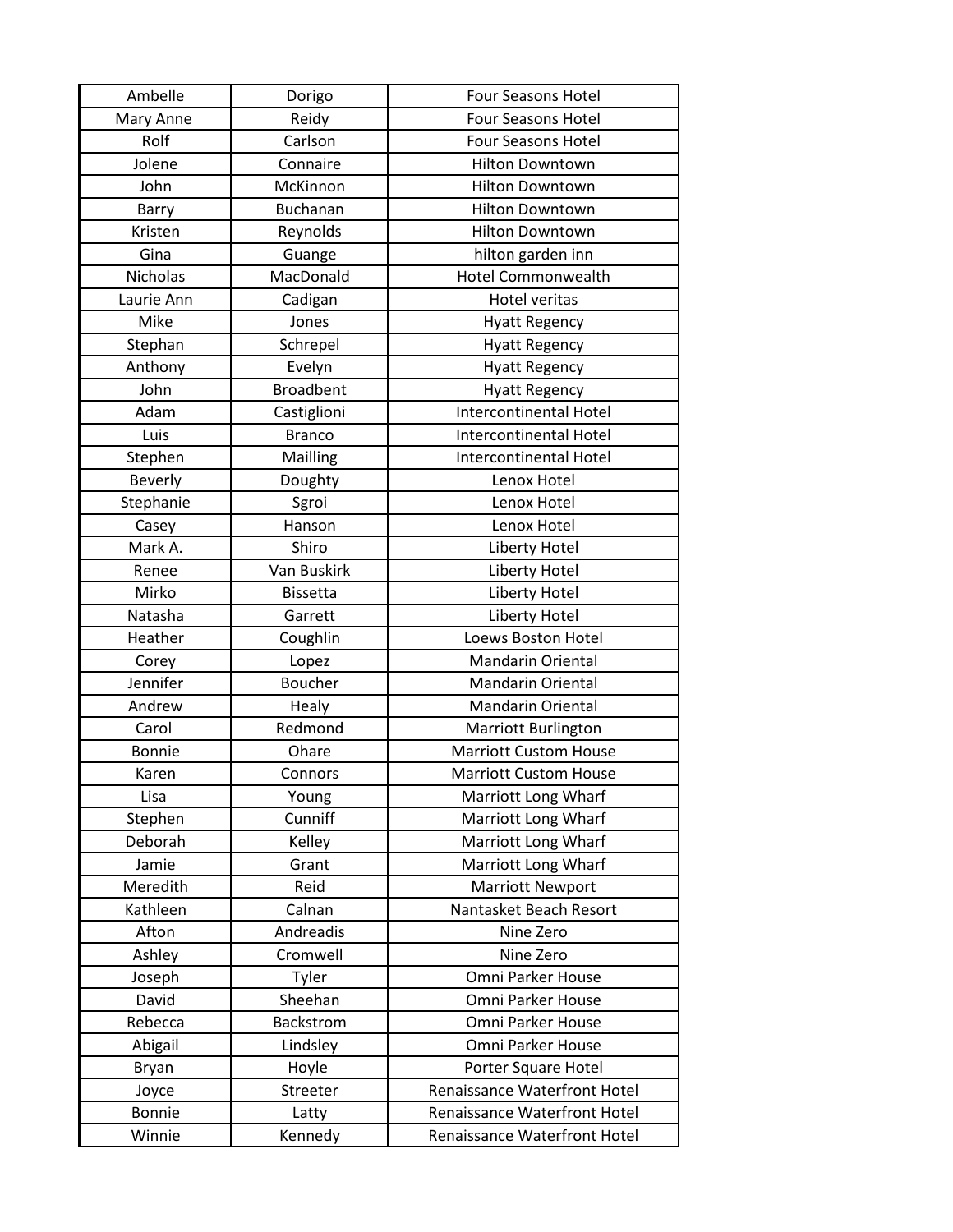| Ambelle         | Dorigo           | <b>Four Seasons Hotel</b>           |
|-----------------|------------------|-------------------------------------|
| Mary Anne       | Reidy            | <b>Four Seasons Hotel</b>           |
| Rolf            | Carlson          | <b>Four Seasons Hotel</b>           |
| Jolene          | Connaire         | <b>Hilton Downtown</b>              |
| John            | McKinnon         | <b>Hilton Downtown</b>              |
| Barry           | <b>Buchanan</b>  | <b>Hilton Downtown</b>              |
| Kristen         | Reynolds         | <b>Hilton Downtown</b>              |
| Gina            | Guange           | hilton garden inn                   |
| <b>Nicholas</b> | MacDonald        | <b>Hotel Commonwealth</b>           |
| Laurie Ann      | Cadigan          | <b>Hotel veritas</b>                |
| Mike            | Jones            | <b>Hyatt Regency</b>                |
| Stephan         | Schrepel         | <b>Hyatt Regency</b>                |
| Anthony         | Evelyn           | <b>Hyatt Regency</b>                |
| John            | <b>Broadbent</b> | <b>Hyatt Regency</b>                |
| Adam            | Castiglioni      | <b>Intercontinental Hotel</b>       |
| Luis            | <b>Branco</b>    | Intercontinental Hotel              |
| Stephen         | Mailling         | <b>Intercontinental Hotel</b>       |
| <b>Beverly</b>  | Doughty          | Lenox Hotel                         |
| Stephanie       | Sgroi            | Lenox Hotel                         |
| Casey           | Hanson           | Lenox Hotel                         |
| Mark A.         | Shiro            | Liberty Hotel                       |
| Renee           | Van Buskirk      | <b>Liberty Hotel</b>                |
| Mirko           | <b>Bissetta</b>  | Liberty Hotel                       |
| Natasha         | Garrett          | Liberty Hotel                       |
| Heather         | Coughlin         | Loews Boston Hotel                  |
| Corey           | Lopez            | <b>Mandarin Oriental</b>            |
| Jennifer        | <b>Boucher</b>   | <b>Mandarin Oriental</b>            |
| Andrew          | Healy            | <b>Mandarin Oriental</b>            |
| Carol           | Redmond          | <b>Marriott Burlington</b>          |
| <b>Bonnie</b>   | Ohare            | <b>Marriott Custom House</b>        |
| Karen           | Connors          | <b>Marriott Custom House</b>        |
| Lisa            | Young            | Marriott Long Wharf                 |
| Stephen         | Cunniff          | Marriott Long Wharf                 |
| Deborah         | Kelley           | Marriott Long Wharf                 |
| Jamie           | Grant            | Marriott Long Wharf                 |
| Meredith        | Reid             | <b>Marriott Newport</b>             |
| Kathleen        | Calnan           | Nantasket Beach Resort              |
| Afton           | Andreadis        | Nine Zero                           |
| Ashley          | Cromwell         | Nine Zero                           |
| Joseph          | Tyler            | Omni Parker House                   |
| David           | Sheehan          | Omni Parker House                   |
| Rebecca         | Backstrom        | Omni Parker House                   |
| Abigail         | Lindsley         | Omni Parker House                   |
| Bryan           | Hoyle            | Porter Square Hotel                 |
| Joyce           | Streeter         | <b>Renaissance Waterfront Hotel</b> |
|                 |                  |                                     |
| <b>Bonnie</b>   | Latty            | Renaissance Waterfront Hotel        |